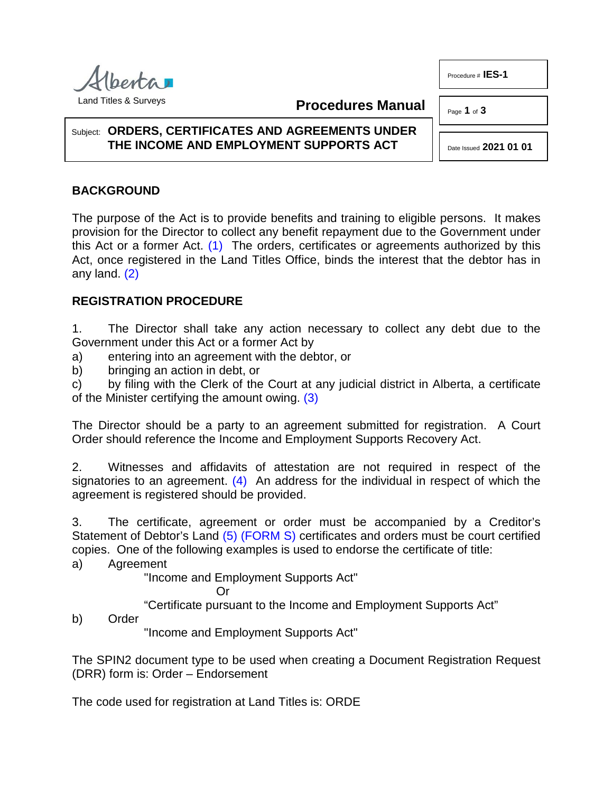Procedure # **IES-1**

Page **1** of **3**



**Procedures Manual**

## Subject: **ORDERS, CERTIFICATES AND AGREEMENTS UNDER THE INCOME AND EMPLOYMENT SUPPORTS ACT**

Date Issued **2021 01 01**

## **BACKGROUND**

<span id="page-0-0"></span>The purpose of the Act is to provide benefits and training to eligible persons. It makes provision for the Director to collect any benefit repayment due to the Government under this Act or a former Act.  $(1)$  The orders, certificates or agreements authorized by this Act, once registered in the Land Titles Office, binds the interest that the debtor has in any land. [\(2\)](#page-2-1)

## <span id="page-0-1"></span>**REGISTRATION PROCEDURE**

1. The Director shall take any action necessary to collect any debt due to the Government under this Act or a former Act by

a) entering into an agreement with the debtor, or

b) bringing an action in debt, or

c) by filing with the Clerk of the Court at any judicial district in Alberta, a certificate of the Minister certifying the amount owing. [\(3\)](#page-2-2)

The Director should be a party to an agreement submitted for registration. A Court Order should reference the Income and Employment Supports Recovery Act.

2. Witnesses and affidavits of attestation are not required in respect of the signatories to an agreement.  $(4)$  An address for the individual in respect of which the agreement is registered should be provided.

3. The certificate, agreement or order must be accompanied by a Creditor's Statement of Debtor's Land [\(5\)](#page-2-4) [\(FORM S\)](#page-2-4) certificates and orders must be court certified copies. One of the following examples is used to endorse the certificate of title:

a) Agreement

"Income and Employment Supports Act"

<span id="page-0-4"></span><span id="page-0-3"></span><span id="page-0-2"></span>Or

"Certificate pursuant to the Income and Employment Supports Act"

b) Order

"Income and Employment Supports Act"

The SPIN2 document type to be used when creating a Document Registration Request (DRR) form is: Order – Endorsement

The code used for registration at Land Titles is: ORDE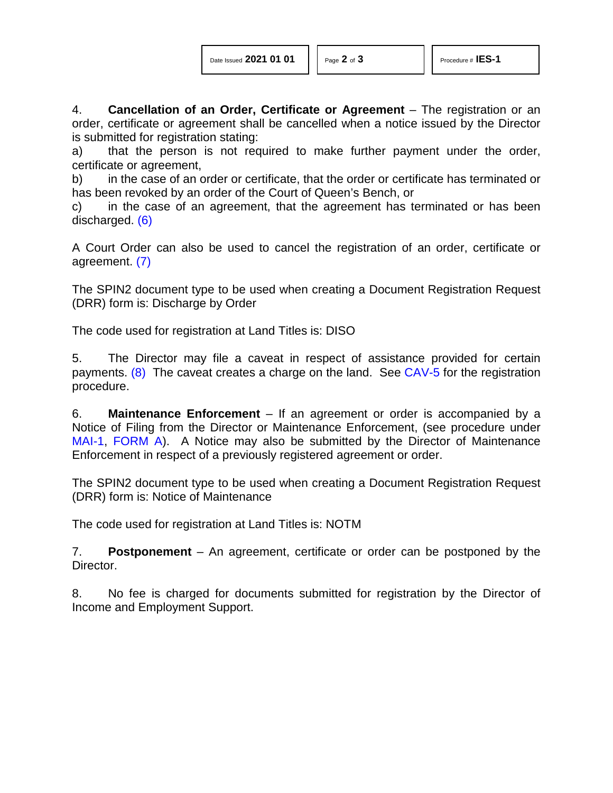4. **Cancellation of an Order, Certificate or Agreement** – The registration or an order, certificate or agreement shall be cancelled when a notice issued by the Director is submitted for registration stating:

a) that the person is not required to make further payment under the order, certificate or agreement,

b) in the case of an order or certificate, that the order or certificate has terminated or has been revoked by an order of the Court of Queen's Bench, or

<span id="page-1-0"></span>c) in the case of an agreement, that the agreement has terminated or has been discharged. [\(6\)](#page-2-5)

<span id="page-1-1"></span>A Court Order can also be used to cancel the registration of an order, certificate or agreement. [\(7\)](#page-2-6)

The SPIN2 document type to be used when creating a Document Registration Request (DRR) form is: Discharge by Order

The code used for registration at Land Titles is: DISO

<span id="page-1-2"></span>5. The Director may file a caveat in respect of assistance provided for certain payments. [\(8\)](#page-2-7) The caveat creates a charge on the land. See [CAV-5](http://www.servicealberta.ca/pdf/ltmanual/CAV-5.pdf) for the registration procedure.

6. **Maintenance Enforcement** – If an agreement or order is accompanied by a Notice of Filing from the Director or Maintenance Enforcement, (see procedure under [MAI-1,](http://www.servicealberta.ca/pdf/ltmanual/MAI-1.pdf) [FORM A\)](http://www.servicealberta.ca/pdf/ltmanual/MAI-1-FORMA.pdf). A Notice may also be submitted by the Director of Maintenance Enforcement in respect of a previously registered agreement or order.

The SPIN2 document type to be used when creating a Document Registration Request (DRR) form is: Notice of Maintenance

The code used for registration at Land Titles is: NOTM

7. **Postponement** – An agreement, certificate or order can be postponed by the Director.

8. No fee is charged for documents submitted for registration by the Director of Income and Employment Support.